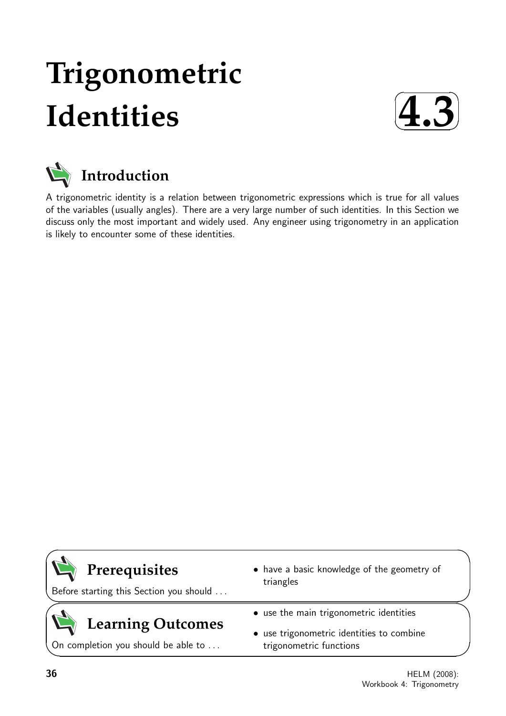# **Trigonometric Identities**





A trigonometric identity is a relation between trigonometric expressions which is true for all values of the variables (usually angles). There are a very large number of such identities. In this Section we discuss only the most important and widely used. Any engineer using trigonometry in an application is likely to encounter some of these identities.

### **Prerequisites**

Before starting this Section you should . . .

## **Learning Outcomes**

On completion you should be able to ...

- have a basic knowledge of the geometry of triangles
- use the main trigonometric identities
- use trigonometric identities to combine trigonometric functions

 $\overline{\phantom{0}}$ 

 $\searrow$ 

 $\geq$ 

 $\overline{\phantom{0}}$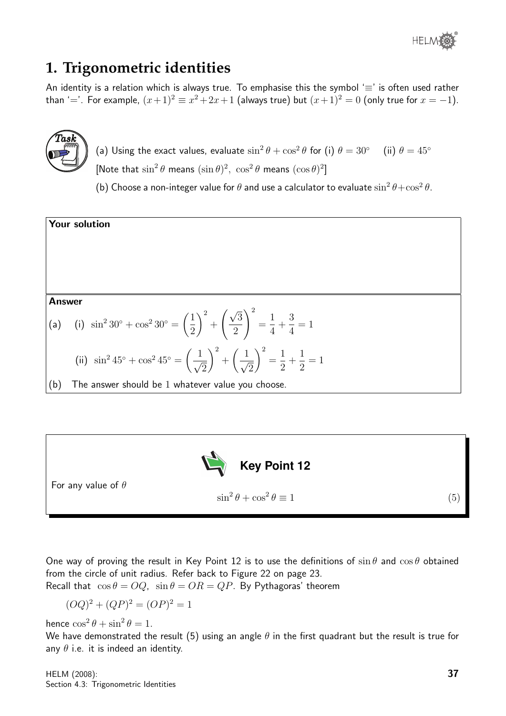

#### **1. Trigonometric identities**

An identity is a relation which is always true. To emphasise this the symbol ' $\equiv$ ' is often used rather than '='. For example,  $(x+1)^2 \equiv x^2+2x+1$  (always true) but  $(x+1)^2 = 0$  (only true for  $x = -1$ ).



(a) Using the exact values, evaluate  $\sin^2\theta + \cos^2\theta$  for (i)  $\theta = 30^\circ$  (ii)  $\theta = 45^\circ$ [Note that  $\sin^2 \theta$  means  $(\sin \theta)^2$ ,  $\cos^2 \theta$  means  $(\cos \theta)^2$ ]

(b) Choose a non-integer value for  $\theta$  and use a calculator to evaluate  $\sin^2\theta\!+\!\cos^2\theta.$ 





One way of proving the result in Key Point 12 is to use the definitions of  $\sin \theta$  and  $\cos \theta$  obtained from the circle of unit radius. Refer back to Figure 22 on page 23.

Recall that  $\cos \theta = OQ$ ,  $\sin \theta = OR = QP$ . By Pythagoras' theorem

$$
(OQ)^{2} + (QP)^{2} = (OP)^{2} = 1
$$

hence  $\cos^2 \theta + \sin^2 \theta = 1$ .

We have demonstrated the result (5) using an angle  $\theta$  in the first quadrant but the result is true for any  $\theta$  i.e. it is indeed an identity.

HELM (2008): Section 4.3: Trigonometric Identities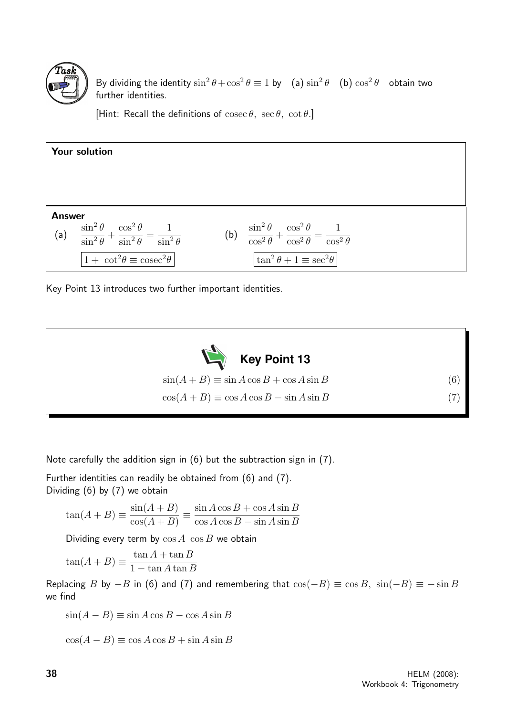

By dividing the identity  $\sin^2 \theta + \cos^2 \theta \equiv 1$  by (a)  $\sin^2 \theta$  (b)  $\cos^2 \theta$  obtain two further identities.

[Hint: Recall the definitions of  $\csc \theta$ ,  $\sec \theta$ ,  $\cot \theta$ .]



Key Point 13 introduces two further important identities.



Note carefully the addition sign in (6) but the subtraction sign in (7).

Further identities can readily be obtained from (6) and (7). Dividing (6) by (7) we obtain

$$
\tan(A+B) \equiv \frac{\sin(A+B)}{\cos(A+B)} \equiv \frac{\sin A \cos B + \cos A \sin B}{\cos A \cos B - \sin A \sin B}
$$

Dividing every term by  $\cos A$   $\cos B$  we obtain

$$
\tan(A+B) \equiv \frac{\tan A + \tan B}{1 - \tan A \tan B}
$$

Replacing B by  $-B$  in (6) and (7) and remembering that  $\cos(-B) \equiv \cos B$ ,  $\sin(-B) \equiv -\sin B$ we find

$$
\sin(A - B) \equiv \sin A \cos B - \cos A \sin B
$$

 $\cos(A - B) \equiv \cos A \cos B + \sin A \sin B$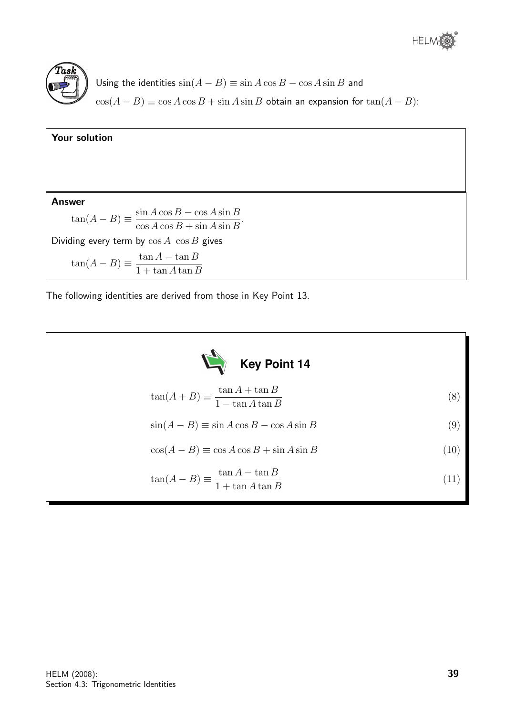

Using the identities  $sin(A - B) \equiv sin A cos B - cos A sin B$  and  $\cos(A - B) \equiv \cos A \cos B + \sin A \sin B$  obtain an expansion for  $\tan(A - B)$ :

| Your solution                                                                             |
|-------------------------------------------------------------------------------------------|
|                                                                                           |
| <b>Answer</b>                                                                             |
| $\tan(A - B) \equiv \frac{\sin A \cos B - \cos A \sin B}{\cos A \cos B + \sin A \sin B}.$ |
| Dividing every term by $\cos A$ $\cos B$ gives                                            |
| $\tan(A - B) \equiv \frac{\tan A - \tan B}{1 + \tan A \tan B}$                            |

The following identities are derived from those in Key Point 13.

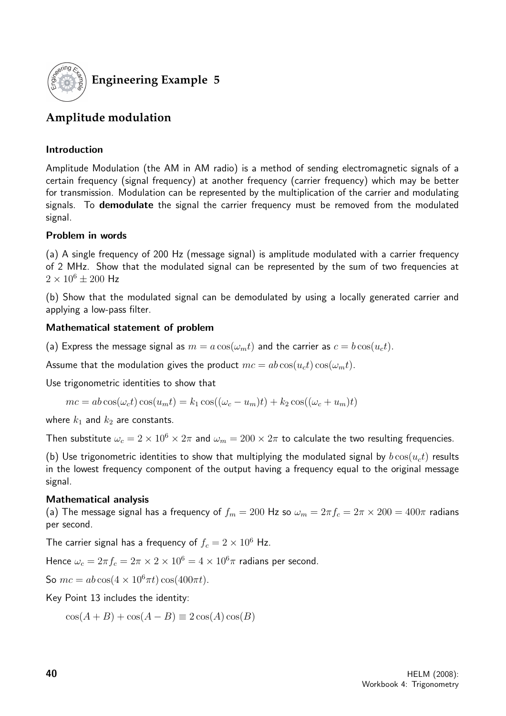

#### **Engineering Example 5**

#### **Amplitude modulation**

#### Introduction

Amplitude Modulation (the AM in AM radio) is a method of sending electromagnetic signals of a certain frequency (signal frequency) at another frequency (carrier frequency) which may be better for transmission. Modulation can be represented by the multiplication of the carrier and modulating signals. To **demodulate** the signal the carrier frequency must be removed from the modulated signal.

#### Problem in words

(a) A single frequency of 200 Hz (message signal) is amplitude modulated with a carrier frequency of 2 MHz. Show that the modulated signal can be represented by the sum of two frequencies at  $2 \times 10^6 \pm 200$  Hz

(b) Show that the modulated signal can be demodulated by using a locally generated carrier and applying a low-pass filter.

#### Mathematical statement of problem

(a) Express the message signal as  $m = a \cos(\omega_m t)$  and the carrier as  $c = b \cos(u_c t)$ .

Assume that the modulation gives the product  $mc = ab \cos(u_c t) \cos(\omega_m t)$ .

Use trigonometric identities to show that

$$
mc = ab\cos(\omega_c t)\cos(u_m t) = k_1 \cos((\omega_c - u_m)t) + k_2 \cos((\omega_c + u_m)t)
$$

where  $k_1$  and  $k_2$  are constants.

Then substitute  $\omega_c = 2 \times 10^6 \times 2\pi$  and  $\omega_m = 200 \times 2\pi$  to calculate the two resulting frequencies.

(b) Use trigonometric identities to show that multiplying the modulated signal by  $b\cos(u_c t)$  results in the lowest frequency component of the output having a frequency equal to the original message signal.

#### Mathematical analysis

(a) The message signal has a frequency of  $f_m = 200$  Hz so  $\omega_m = 2\pi f_c = 2\pi \times 200 = 400\pi$  radians per second.

The carrier signal has a frequency of  $f_c = 2 \times 10^6$  Hz.

Hence  $\omega_c = 2\pi f_c = 2\pi \times 2 \times 10^6 = 4 \times 10^6 \pi$  radians per second.

So  $mc = ab \cos(4 \times 10^6 \pi t) \cos(400 \pi t)$ .

Key Point 13 includes the identity:

 $\cos(A+B) + \cos(A-B) \equiv 2 \cos(A) \cos(B)$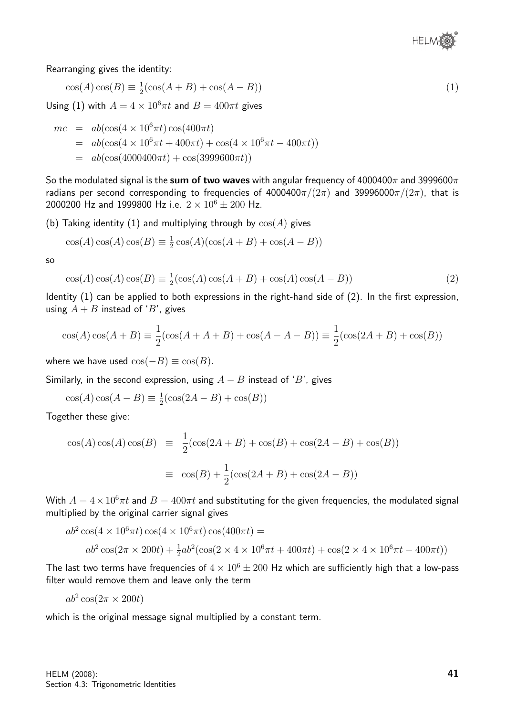

Rearranging gives the identity:

$$
\cos(A)\cos(B) \equiv \frac{1}{2}(\cos(A+B) + \cos(A-B))\tag{1}
$$

Using (1) with  $A = 4 \times 10^6 \pi t$  and  $B = 400 \pi t$  gives

$$
mc = ab(\cos(4 \times 10^6 \pi t) \cos(400 \pi t)
$$
  
=  $ab(\cos(4 \times 10^6 \pi t + 400 \pi t) + \cos(4 \times 10^6 \pi t - 400 \pi t))$   
=  $ab(\cos(4000400 \pi t) + \cos(3999600 \pi t))$ 

So the modulated signal is the sum of two waves with angular frequency of  $4000400\pi$  and 3999600 $\pi$ radians per second corresponding to frequencies of  $4000400\pi/(2\pi)$  and  $39996000\pi/(2\pi)$ , that is 2000200 Hz and 1999800 Hz i.e.  $2 \times 10^6 \pm 200$  Hz.

(b) Taking identity (1) and multiplying through by  $cos(A)$  gives

$$
\cos(A)\cos(A)\cos(B) \equiv \frac{1}{2}\cos(A)(\cos(A+B) + \cos(A-B))
$$

so

$$
\cos(A)\cos(A)\cos(B) \equiv \frac{1}{2}(\cos(A)\cos(A+B) + \cos(A)\cos(A-B))\tag{2}
$$

Identity (1) can be applied to both expressions in the right-hand side of (2). In the first expression, using  $A + B$  instead of 'B', gives

$$
\cos(A)\cos(A+B) \equiv \frac{1}{2}(\cos(A+A+B) + \cos(A-A-B)) \equiv \frac{1}{2}(\cos(2A+B) + \cos(B))
$$

where we have used  $\cos(-B) \equiv \cos(B)$ .

Similarly, in the second expression, using  $A - B$  instead of 'B', gives

$$
\cos(A)\cos(A - B) \equiv \frac{1}{2}(\cos(2A - B) + \cos(B))
$$

Together these give:

$$
\cos(A)\cos(A)\cos(B) \equiv \frac{1}{2}(\cos(2A+B) + \cos(B) + \cos(2A-B) + \cos(B))
$$

$$
\equiv \cos(B) + \frac{1}{2}(\cos(2A+B) + \cos(2A-B))
$$

With  $A = 4 \times 10^6 \pi t$  and  $B = 400 \pi t$  and substituting for the given frequencies, the modulated signal multiplied by the original carrier signal gives

$$
ab^{2}\cos(4 \times 10^{6} \pi t)\cos(4 \times 10^{6} \pi t)\cos(400 \pi t) =
$$
  
\n
$$
ab^{2}\cos(2\pi \times 200t) + \frac{1}{2}ab^{2}(\cos(2 \times 4 \times 10^{6} \pi t + 400 \pi t) + \cos(2 \times 4 \times 10^{6} \pi t - 400 \pi t))
$$

The last two terms have frequencies of  $4 \times 10^6 \pm 200$  Hz which are sufficiently high that a low-pass filter would remove them and leave only the term

 $ab^2 \cos(2\pi \times 200t)$ 

which is the original message signal multiplied by a constant term.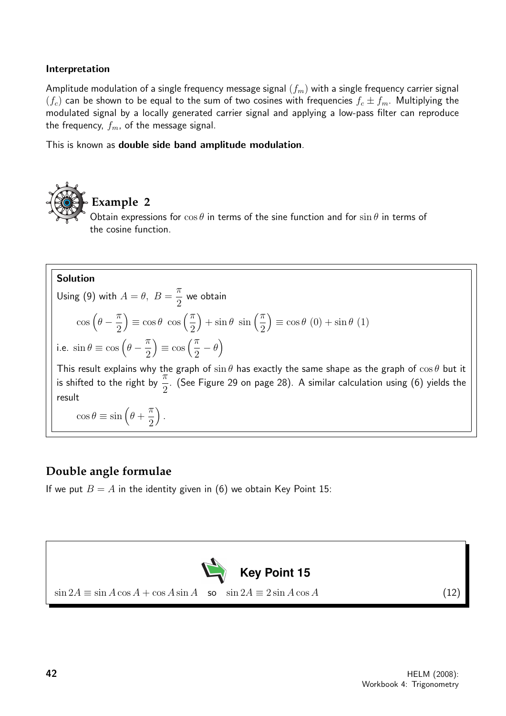#### Interpretation

Amplitude modulation of a single frequency message signal  $(f_m)$  with a single frequency carrier signal  $(f_c)$  can be shown to be equal to the sum of two cosines with frequencies  $f_c \pm f_m$ . Multiplying the modulated signal by a locally generated carrier signal and applying a low-pass filter can reproduce the frequency,  $f_m$ , of the message signal.

This is known as double side band amplitude modulation.



#### Solution

Using (9) with  $A = \theta$ ,  $B =$  $\pi$ 2 we obtain  $\cos\left(\theta-\frac{\pi}{2}\right)$ 2  $\equiv \cos \theta \cos \left( \frac{\pi}{2} \right)$ 2  $+\sin\theta \sin\left(\frac{\pi}{2}\right)$ 2  $\equiv \cos \theta (0) + \sin \theta (1)$ i.e.  $\sin \theta \equiv \cos \left( \theta - \frac{\pi}{2} \right)$ 2  $\equiv$  cos  $\left(\frac{\pi}{2}\right)$ 2  $-\theta$ ) This result explains why the graph of  $\sin \theta$  has exactly the same shape as the graph of  $\cos \theta$  but it is shifted to the right by  $\frac{\pi}{6}$ 2 . (See Figure 29 on page 28). A similar calculation using (6) yields the result

 $\cos \theta \equiv \sin \left( \theta + \right)$  $\pi$ 2 .

#### **Double angle formulae**

If we put  $B = A$  in the identity given in (6) we obtain Key Point 15:

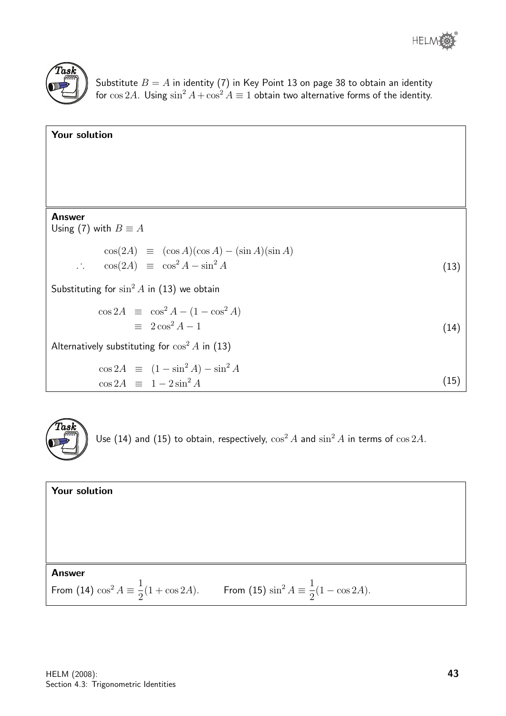



Substitute  $B=A$  in identity (7) in Key Point 13 on page 38 to obtain an identity for  $\cos 2A$ . Using  $\sin^2 A + \cos^2 A \equiv 1$  obtain two alternative forms of the identity.

| Your solution                                         |      |
|-------------------------------------------------------|------|
|                                                       |      |
|                                                       |      |
|                                                       |      |
|                                                       |      |
| <b>Answer</b><br>Using (7) with $B \equiv A$          |      |
| $\cos(2A) \equiv (\cos A)(\cos A) - (\sin A)(\sin A)$ |      |
| $\therefore \cos(2A) \equiv \cos^2 A - \sin^2 A$      | (13) |
| Substituting for $\sin^2 A$ in (13) we obtain         |      |
| $\cos 2A \equiv \cos^2 A - (1 - \cos^2 A)$            |      |
| $\equiv 2 \cos^2 A - 1$                               | (14) |
| Alternatively substituting for $\cos^2 A$ in (13)     |      |
| $\cos 2A \equiv (1 - \sin^2 A) - \sin^2 A$            |      |
| $\cos 2A \equiv 1 - 2\sin^2 A$                        | (15) |



Use (14) and (15) to obtain, respectively,  $\cos^2 A$  and  $\sin^2 A$  in terms of  $\cos 2A$ .

| Your solution                                                                                                 |  |
|---------------------------------------------------------------------------------------------------------------|--|
|                                                                                                               |  |
|                                                                                                               |  |
| <b>Answer</b>                                                                                                 |  |
| From (14) $\cos^2 A \equiv \frac{1}{2}(1 + \cos 2A)$ . From (15) $\sin^2 A \equiv \frac{1}{2}(1 - \cos 2A)$ . |  |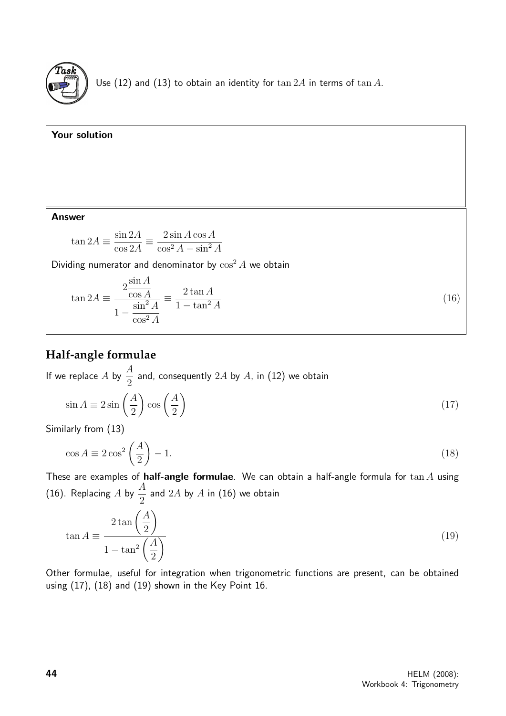

Use (12) and (13) to obtain an identity for  $\tan 2A$  in terms of  $\tan A$ .



#### **Half-angle formulae**

If we replace A by  $\frac{A}{2}$ 2 and, consequently  $2A$  by  $A$ , in (12) we obtain

$$
\sin A \equiv 2\sin\left(\frac{A}{2}\right)\cos\left(\frac{A}{2}\right) \tag{17}
$$

Similarly from (13)

$$
\cos A \equiv 2\cos^2\left(\frac{A}{2}\right) - 1.\tag{18}
$$

These are examples of half-angle formulae. We can obtain a half-angle formula for  $\tan A$  using (16). Replacing A by  $\frac{A}{2}$ 2 and  $2A$  by  $A$  in (16) we obtain

$$
\tan A \equiv \frac{2 \tan \left(\frac{A}{2}\right)}{1 - \tan^2 \left(\frac{A}{2}\right)}\tag{19}
$$

Other formulae, useful for integration when trigonometric functions are present, can be obtained using (17), (18) and (19) shown in the Key Point 16.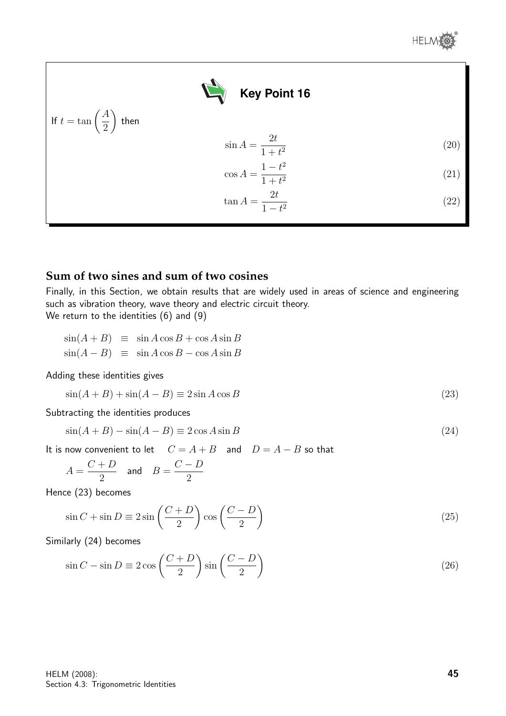

#### **Sum of two sines and sum of two cosines**

Finally, in this Section, we obtain results that are widely used in areas of science and engineering such as vibration theory, wave theory and electric circuit theory. We return to the identities (6) and (9)

|  | $\sin(A+B) \equiv \sin A \cos B + \cos A \sin B$ |
|--|--------------------------------------------------|
|  | $\sin(A-B) \equiv \sin A \cos B - \cos A \sin B$ |

Adding these identities gives

$$
\sin(A+B) + \sin(A-B) \equiv 2\sin A \cos B \tag{23}
$$

Subtracting the identities produces

$$
\sin(A+B) - \sin(A-B) \equiv 2\cos A \sin B \tag{24}
$$

It is now convenient to let  $C = A + B$  and  $D = A - B$  so that

$$
A = \frac{C+D}{2} \quad \text{and} \quad B = \frac{C-D}{2}
$$

Hence (23) becomes

$$
\sin C + \sin D \equiv 2\sin\left(\frac{C+D}{2}\right)\cos\left(\frac{C-D}{2}\right) \tag{25}
$$

Similarly (24) becomes

$$
\sin C - \sin D \equiv 2\cos\left(\frac{C+D}{2}\right)\sin\left(\frac{C-D}{2}\right) \tag{26}
$$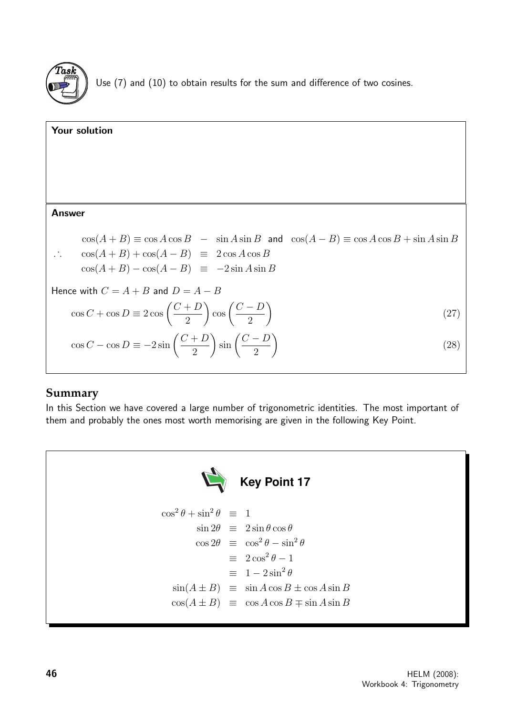

Use (7) and (10) to obtain results for the sum and difference of two cosines.

#### Your solution **Answer**  $\cos(A + B) \equiv \cos A \cos B$  –  $\sin A \sin B$  and  $\cos(A - B) \equiv \cos A \cos B + \sin A \sin B$ . . .  $\cos(A+B) + \cos(A-B) \equiv 2 \cos A \cos B$  $\cos(A+B) - \cos(A-B) \equiv -2 \sin A \sin B$ Hence with  $C = A + B$  and  $D = A - B$  $\cos C + \cos D \equiv 2 \cos \left( \frac{C+D}{2} \right)$ 2  $\cos\left(\frac{C-D}{2}\right)$ 2  $\setminus$ (27)  $\cos C - \cos D \equiv -2 \sin \left( \frac{C+D}{2} \right)$ 2  $\sin\left(\frac{C-D}{2}\right)$ 2  $\setminus$ (28)

#### **Summary**

In this Section we have covered a large number of trigonometric identities. The most important of them and probably the ones most worth memorising are given in the following Key Point.



$$
\cos^2 \theta + \sin^2 \theta \equiv 1
$$
  
\n
$$
\sin 2\theta \equiv 2 \sin \theta \cos \theta
$$
  
\n
$$
\cos 2\theta \equiv \cos^2 \theta - \sin^2 \theta
$$
  
\n
$$
\equiv 2 \cos^2 \theta - 1
$$
  
\n
$$
\equiv 1 - 2 \sin^2 \theta
$$
  
\n
$$
\sin(A \pm B) \equiv \sin A \cos B \pm \cos A \sin B
$$
  
\n
$$
\cos(A \pm B) \equiv \cos A \cos B \mp \sin A \sin B
$$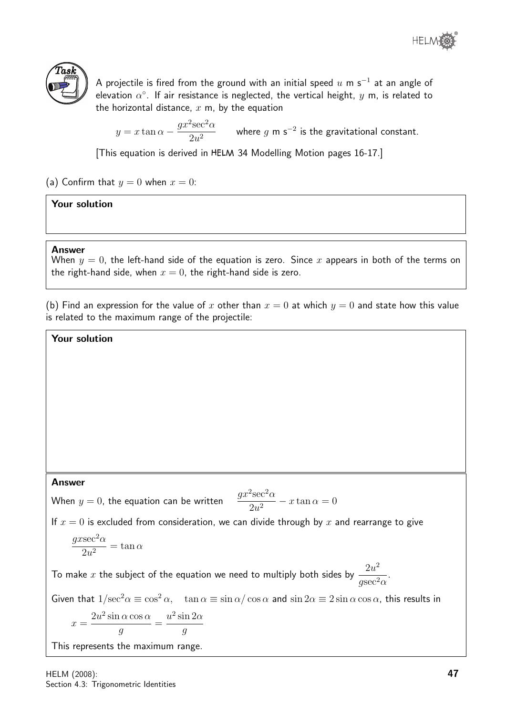



A projectile is fired from the ground with an initial speed  $u$  m s $^{\rm -1}$  at an angle of elevation  $\alpha^\circ$ . If air resistance is neglected, the vertical height,  $y$  m, is related to the horizontal distance,  $x$  m, by the equation

 $y = x \tan \alpha$  $gx^2$ sec<sup>2</sup> $\alpha$  $\frac{3\pi C}{2u^2}$  where g m s<sup>-2</sup> is the gravitational constant.

[This equation is derived in 34 Modelling Motion pages 16-17.]

(a) Confirm that  $y = 0$  when  $x = 0$ :

#### Your solution

#### Answer

When  $y = 0$ , the left-hand side of the equation is zero. Since x appears in both of the terms on the right-hand side, when  $x = 0$ , the right-hand side is zero.

(b) Find an expression for the value of x other than  $x = 0$  at which  $y = 0$  and state how this value is related to the maximum range of the projectile:

#### Your solution

#### Answer

When  $y = 0$ , the equation can be written  $\sec^2 \alpha$  $\frac{3\alpha\alpha}{2u^2} - x\tan\alpha = 0$ 

If  $x = 0$  is excluded from consideration, we can divide through by x and rearrange to give

$$
\frac{g x \sec^2\alpha}{2u^2} = \tan\alpha
$$

To make  $x$  the subject of the equation we need to multiply both sides by  $\frac{2u^2}{\sigma^2}$  $\frac{2\alpha}{g\sec^2\alpha}$ .

Given that  $1/\sec^2 \alpha \equiv \cos^2 \alpha$ ,  $\tan \alpha \equiv \sin \alpha / \cos \alpha$  and  $\sin 2\alpha \equiv 2 \sin \alpha \cos \alpha$ , this results in

$$
x = \frac{2u^2 \sin \alpha \cos \alpha}{g} = \frac{u^2 \sin 2\alpha}{g}
$$

This represents the maximum range.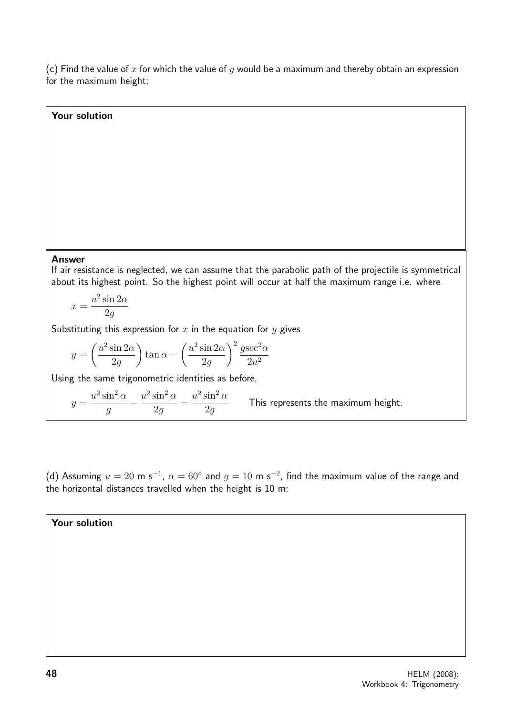(c) Find the value of x for which the value of y would be a maximum and thereby obtain an expression for the maximum height:

# Your solution

#### Answer

If air resistance is neglected, we can assume that the parabolic path of the projectile is symmetrical about its highest point. So the highest point will occur at half the maximum range i.e. where

$$
x = \frac{u^2 \sin 2\alpha}{2g}
$$

Substituting this expression for  $x$  in the equation for  $y$  gives

$$
y = \left(\frac{u^2 \sin 2\alpha}{2g}\right) \tan \alpha - \left(\frac{u^2 \sin 2\alpha}{2g}\right)^2 \frac{g \sec^2 \alpha}{2u^2}
$$

Using the same trigonometric identities as before,

 $y =$  $u^2 \sin^2 \alpha$ g  $-\frac{u^2\sin^2\alpha}{2}$ 2g =  $u^2 \sin^2 \alpha$ 2g This represents the maximum height.

(d) Assuming  $u = 20$  m s<sup>-1</sup>,  $\alpha = 60^{\circ}$  and  $g = 10$  m s<sup>-2</sup>, find the maximum value of the range and the horizontal distances travelled when the height is 10 m:

#### Your solution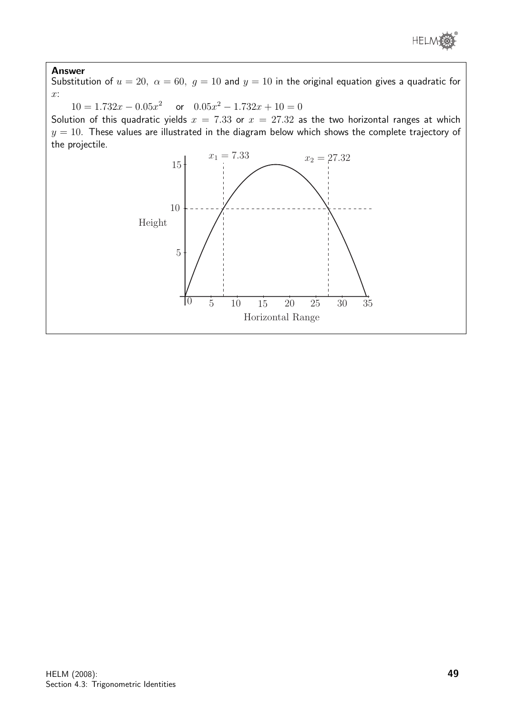

#### Answer

Substitution of  $u = 20$ ,  $\alpha = 60$ ,  $g = 10$  and  $y = 10$  in the original equation gives a quadratic for  $x$ :

 $10 = 1.732x - 0.05x^2$  or  $0.05x^2 - 1.732x + 10 = 0$ 

Solution of this quadratic yields  $x = 7.33$  or  $x = 27.32$  as the two horizontal ranges at which  $y = 10$ . These values are illustrated in the diagram below which shows the complete trajectory of the projectile.

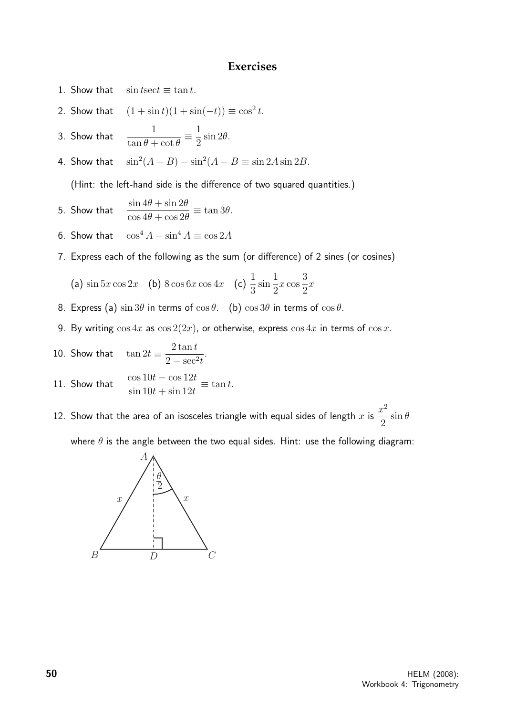#### **Exercises**

- 1. Show that  $\sin t \sec t \equiv \tan t$ .
- 2. Show that  $(1 + \sin t)(1 + \sin(-t)) \equiv \cos^2 t$ .
- 3. Show that  $\frac{1}{\sqrt{2}}$  $\tan \theta + \cot \theta$  $\equiv \frac{1}{2}$ 2  $\sin 2\theta$ .
- 4. Show that  $(A + B) - \sin^2(A - B) \equiv \sin 2A \sin 2B$ .

(Hint: the left-hand side is the difference of two squared quantities.)

- 5. Show that  $\frac{\sin 4\theta + \sin 2\theta}{4\theta + \sin 2\theta}$  $\cos 4\theta + \cos 2\theta$  $\equiv$  tan 3 $\theta$ .
- 6. Show that  $\cos^4 A \sin^4 A \equiv \cos 2A$
- 7. Express each of the following as the sum (or difference) of 2 sines (or cosines)

(a) 
$$
\sin 5x \cos 2x
$$
 (b)  $8 \cos 6x \cos 4x$  (c)  $\frac{1}{3} \sin \frac{1}{2}x \cos \frac{3}{2}x$ 

- 8. Express (a)  $\sin 3\theta$  in terms of  $\cos \theta$ . (b)  $\cos 3\theta$  in terms of  $\cos \theta$ .
- 9. By writing  $\cos 4x$  as  $\cos 2(2x)$ , or otherwise, express  $\cos 4x$  in terms of  $\cos x$ .

10. Show that 
$$
\tan 2t \equiv \frac{2 \tan t}{2 - \sec^2 t}.
$$

11. Show that 
$$
\frac{\cos 10t - \cos 12t}{\sin 10t + \sin 12t} \equiv \tan t.
$$

12. Show that the area of an isosceles triangle with equal sides of length  $x$  is  $\frac{x^2}{2}$ 2  $\sin \theta$ 

where  $\theta$  is the angle between the two equal sides. Hint: use the following diagram:

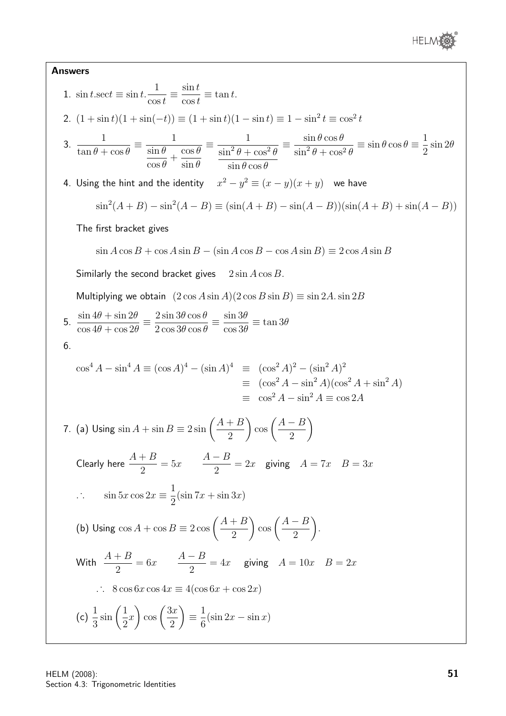

#### Answers

1. 
$$
\sin t \sec t \equiv \sin t \cdot \frac{1}{\cos t} \equiv \frac{\sin t}{\cos t} \equiv \tan t
$$
.  
\n2.  $(1 + \sin t)(1 + \sin(-t)) \equiv (1 + \sin t)(1 - \sin t) \equiv 1 - \sin^2 t \equiv \cos^2 t$   
\n3.  $\frac{1}{\tan \theta + \cos \theta} \equiv \frac{1}{\sin \theta \cos \theta} \frac{1}{\sin \theta} \frac{1}{\sin \theta + \cos^2 \theta} \equiv \frac{\sin \theta \cos \theta}{\sin^2 \theta + \cos^2 \theta} \equiv \sin \theta \cos \theta \equiv \frac{1}{2} \sin 2\theta$   
\n4. Using the hint and the identity  $x^2 - y^2 \equiv (x - y)(x + y)$  we have  
\n $\sin^2(A + B) - \sin^2(A - B) \equiv (\sin(A + B) - \sin(A - B)))(\sin(A + B) + \sin(A - B))$   
\nThe first bracket gives  
\n $\sin A \cos B + \cos A \sin B - (\sin A \cos B - \cos A \sin B) \equiv 2 \cos A \sin B$   
\nSimilarly the second bracket gives  $2 \sin A \cos B$ .  
\nMultiplying we obtain  $(2 \cos A \sin A)(2 \cos B \sin B) \equiv \sin 2A \cdot \sin 2B$   
\n5.  $\frac{\sin 4\theta + \sin 2\theta}{\cos 4\theta + \cos 2\theta} \equiv \frac{2 \sin 3\theta \cos \theta}{2 \cos 3\theta \cos \theta} \equiv \frac{\sin 3\theta}{\cos 3\theta} \equiv \tan 3\theta$   
\n6.  $\cos^4 A - \sin^4 A \equiv (\cos A)^4 - (\sin A)^4 \equiv (\cos^2 A)^2 - (\sin^2 A)^2$   
\n $\equiv (\cos^2 A - \sin^2 A)(\cos^2 A + \sin^2 A)$   
\n $\equiv (\cos^2 A - \sin^2 A) (\cos^2 A + \sin^2 A)$   
\n7. (a) Using  $\sin A + \sin B \equiv 2 \sin \left(\frac{A + B}{2}\right) \cos \left(\frac{A - B}{2}\right)$   
\nClearly here  $\frac{A + B}{2} = 5x$   $\frac{A - B}{2} = 2x$  giving  $A = 7x$   $B = 3x$   
\n $\therefore$